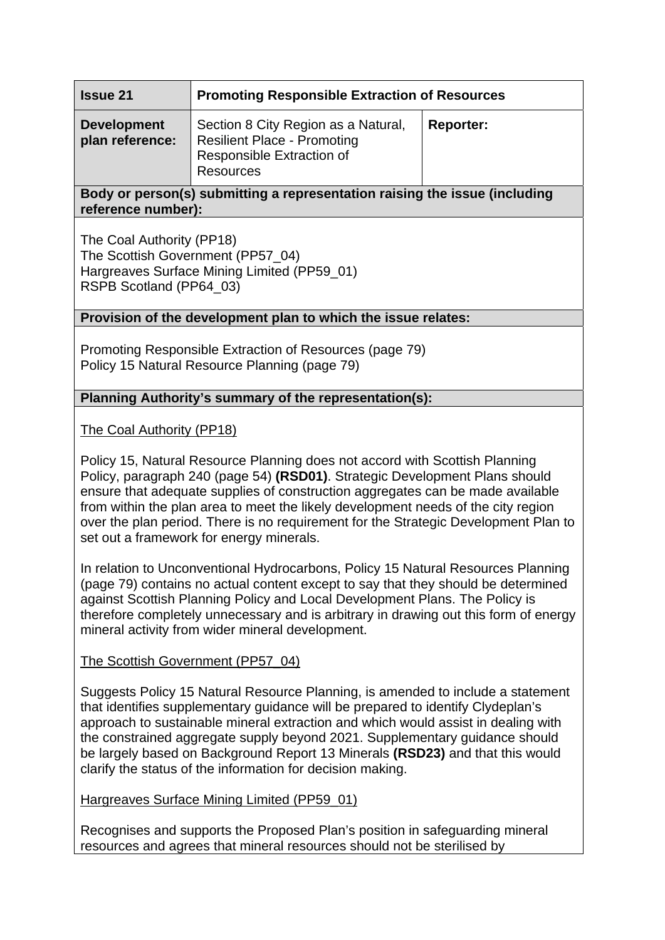| <b>Issue 21</b>                       | <b>Promoting Responsible Extraction of Resources</b>                                                                       |                  |
|---------------------------------------|----------------------------------------------------------------------------------------------------------------------------|------------------|
| <b>Development</b><br>plan reference: | Section 8 City Region as a Natural,<br><b>Resilient Place - Promoting</b><br>Responsible Extraction of<br><b>Resources</b> | <b>Reporter:</b> |

**Body or person(s) submitting a representation raising the issue (including reference number):** 

The Coal Authority (PP18) The Scottish Government (PP57\_04) Hargreaves Surface Mining Limited (PP59\_01) RSPB Scotland (PP64\_03)

## **Provision of the development plan to which the issue relates:**

Promoting Responsible Extraction of Resources (page 79) Policy 15 Natural Resource Planning (page 79)

## **Planning Authority's summary of the representation(s):**

The Coal Authority (PP18)

Policy 15, Natural Resource Planning does not accord with Scottish Planning Policy, paragraph 240 (page 54) **(RSD01)**. Strategic Development Plans should ensure that adequate supplies of construction aggregates can be made available from within the plan area to meet the likely development needs of the city region over the plan period. There is no requirement for the Strategic Development Plan to set out a framework for energy minerals.

In relation to Unconventional Hydrocarbons, Policy 15 Natural Resources Planning (page 79) contains no actual content except to say that they should be determined against Scottish Planning Policy and Local Development Plans. The Policy is therefore completely unnecessary and is arbitrary in drawing out this form of energy mineral activity from wider mineral development.

#### The Scottish Government (PP57\_04)

Suggests Policy 15 Natural Resource Planning, is amended to include a statement that identifies supplementary guidance will be prepared to identify Clydeplan's approach to sustainable mineral extraction and which would assist in dealing with the constrained aggregate supply beyond 2021. Supplementary guidance should be largely based on Background Report 13 Minerals **(RSD23)** and that this would clarify the status of the information for decision making.

#### Hargreaves Surface Mining Limited (PP59\_01)

Recognises and supports the Proposed Plan's position in safeguarding mineral resources and agrees that mineral resources should not be sterilised by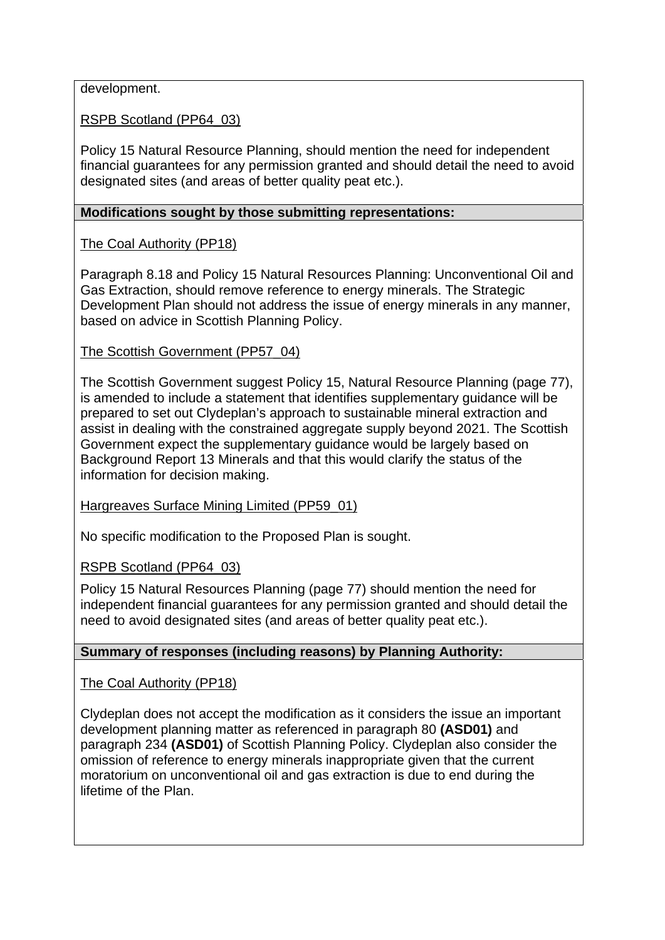development.

RSPB Scotland (PP64\_03)

Policy 15 Natural Resource Planning, should mention the need for independent financial guarantees for any permission granted and should detail the need to avoid designated sites (and areas of better quality peat etc.).

## **Modifications sought by those submitting representations:**

# The Coal Authority (PP18)

Paragraph 8.18 and Policy 15 Natural Resources Planning: Unconventional Oil and Gas Extraction, should remove reference to energy minerals. The Strategic Development Plan should not address the issue of energy minerals in any manner, based on advice in Scottish Planning Policy.

## The Scottish Government (PP57\_04)

The Scottish Government suggest Policy 15, Natural Resource Planning (page 77), is amended to include a statement that identifies supplementary guidance will be prepared to set out Clydeplan's approach to sustainable mineral extraction and assist in dealing with the constrained aggregate supply beyond 2021. The Scottish Government expect the supplementary guidance would be largely based on Background Report 13 Minerals and that this would clarify the status of the information for decision making.

Hargreaves Surface Mining Limited (PP59\_01)

No specific modification to the Proposed Plan is sought.

RSPB Scotland (PP64\_03)

Policy 15 Natural Resources Planning (page 77) should mention the need for independent financial guarantees for any permission granted and should detail the need to avoid designated sites (and areas of better quality peat etc.).

# **Summary of responses (including reasons) by Planning Authority:**

The Coal Authority (PP18)

Clydeplan does not accept the modification as it considers the issue an important development planning matter as referenced in paragraph 80 **(ASD01)** and paragraph 234 **(ASD01)** of Scottish Planning Policy. Clydeplan also consider the omission of reference to energy minerals inappropriate given that the current moratorium on unconventional oil and gas extraction is due to end during the lifetime of the Plan.